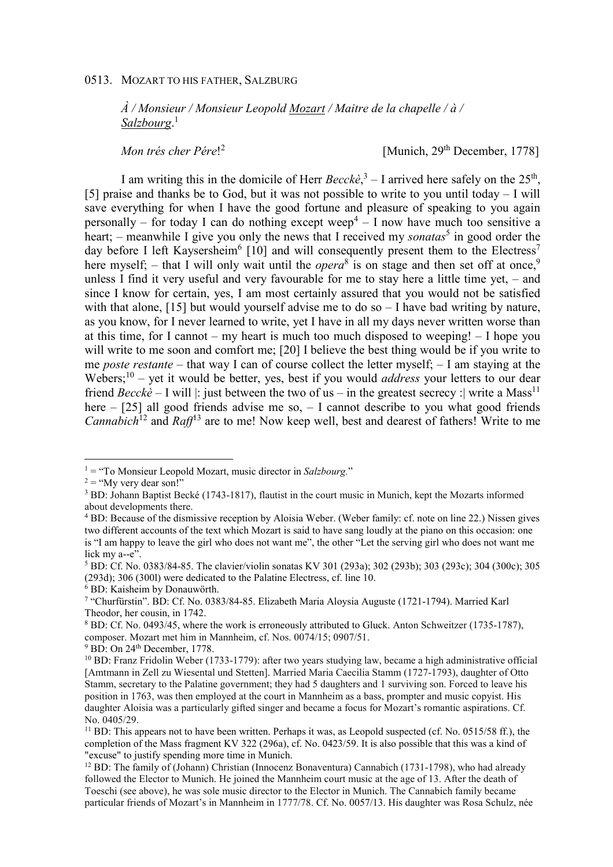*À / Monsieur / Monsieur Leopold Mozart / Maitre de la chapelle / à / Salzbourg*. 1

*Mon trés cher Pére*! 2

[Munich, 29<sup>th</sup> December, 1778]

I am writing this in the domicile of Herr  $Beccke$ ,  $3 - I$  arrived here safely on the  $25<sup>th</sup>$ , [5] praise and thanks be to God, but it was not possible to write to you until today – I will save everything for when I have the good fortune and pleasure of speaking to you again personally – for today I can do nothing except weep<sup>4</sup> – I now have much too sensitive a heart; – meanwhile I give you only the news that I received my *sonatas*<sup>5</sup> in good order the day before I left Kaysersheim<sup>6</sup> [10] and will consequently present them to the Electress<sup>7</sup> here myself; – that I will only wait until the *opera*<sup>8</sup> is on stage and then set off at once,<sup>9</sup> unless I find it very useful and very favourable for me to stay here a little time yet, – and since I know for certain, yes, I am most certainly assured that you would not be satisfied with that alone, [15] but would yourself advise me to do so – I have bad writing by nature, as you know, for I never learned to write, yet I have in all my days never written worse than at this time, for I cannot – my heart is much too much disposed to weeping! – I hope you will write to me soon and comfort me; [20] I believe the best thing would be if you write to me *poste restante* – that way I can of course collect the letter myself; – I am staying at the Webers;<sup>10</sup> – yet it would be better, yes, best if you would *address* your letters to our dear friend *Becckè* – I will |: just between the two of us – in the greatest secrecy : | write a Mass<sup>11</sup> here – [25] all good friends advise me so, – I cannot describe to you what good friends *Cannabich*<sup>12</sup> and *Raff*<sup>13</sup> are to me! Now keep well, best and dearest of fathers! Write to me

 $\overline{a}$ 

<sup>&</sup>lt;sup>1</sup> = "To Monsieur Leopold Mozart, music director in *Salzbourg*."

 $2 =$  "My very dear son!"

<sup>&</sup>lt;sup>3</sup> BD: Johann Baptist Becké (1743-1817), flautist in the court music in Munich, kept the Mozarts informed about developments there.

<sup>&</sup>lt;sup>4</sup> BD: Because of the dismissive reception by Aloisia Weber. (Weber family: cf. note on line 22.) Nissen gives two different accounts of the text which Mozart is said to have sang loudly at the piano on this occasion: one is "I am happy to leave the girl who does not want me", the other "Let the serving girl who does not want me lick my a--e".

<sup>5</sup> BD: Cf. No. 0383/84-85. The clavier/violin sonatas KV 301 (293a); 302 (293b); 303 (293c); 304 (300c); 305 (293d); 306 (300l) were dedicated to the Palatine Electress, cf. line 10.

<sup>6</sup> BD: Kaisheim by Donauwörth.

<sup>7</sup> "Churfürstin". BD: Cf. No. 0383/84-85. Elizabeth Maria Aloysia Auguste (1721-1794). Married Karl Theodor, her cousin, in 1742.

<sup>&</sup>lt;sup>8</sup> BD: Cf. No. 0493/45, where the work is erroneously attributed to Gluck. Anton Schweitzer (1735-1787), composer. Mozart met him in Mannheim, cf. Nos. 0074/15; 0907/51.

 $9$  BD: On 24<sup>th</sup> December, 1778.

<sup>10</sup> BD: Franz Fridolin Weber (1733-1779): after two years studying law, became a high administrative official [Amtmann in Zell zu Wiesental und Stetten]. Married Maria Caecilia Stamm (1727-1793), daughter of Otto Stamm, secretary to the Palatine government; they had 5 daughters and 1 surviving son. Forced to leave his position in 1763, was then employed at the court in Mannheim as a bass, prompter and music copyist. His daughter Aloisia was a particularly gifted singer and became a focus for Mozart's romantic aspirations. Cf. No. 0405/29.

 $11$  BD: This appears not to have been written. Perhaps it was, as Leopold suspected (cf. No. 0515/58 ff.), the completion of the Mass fragment KV 322 (296a), cf. No. 0423/59. It is also possible that this was a kind of "excuse" to justify spending more time in Munich.

<sup>&</sup>lt;sup>12</sup> BD: The family of (Johann) Christian (Innocenz Bonaventura) Cannabich (1731-1798), who had already followed the Elector to Munich. He joined the Mannheim court music at the age of 13. After the death of Toeschi (see above), he was sole music director to the Elector in Munich. The Cannabich family became particular friends of Mozart's in Mannheim in 1777/78. Cf. No. 0057/13. His daughter was Rosa Schulz, née